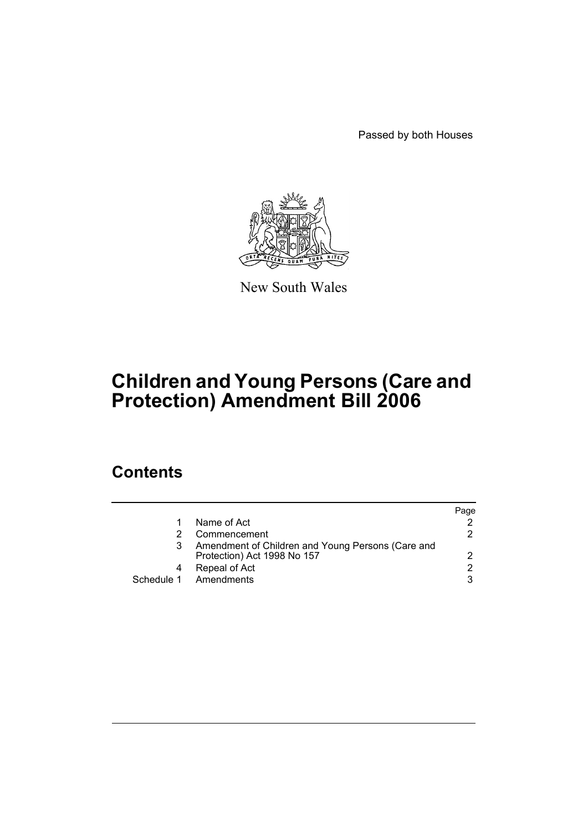Passed by both Houses



New South Wales

# **Children and Young Persons (Care and Protection) Amendment Bill 2006**

# **Contents**

|   |                                                                                  | Page          |
|---|----------------------------------------------------------------------------------|---------------|
| 1 | Name of Act                                                                      |               |
|   | Commencement                                                                     | 2             |
|   | Amendment of Children and Young Persons (Care and<br>Protection) Act 1998 No 157 | 2             |
| 4 | Repeal of Act                                                                    | $\mathcal{P}$ |
|   | Schedule 1 Amendments                                                            | 3             |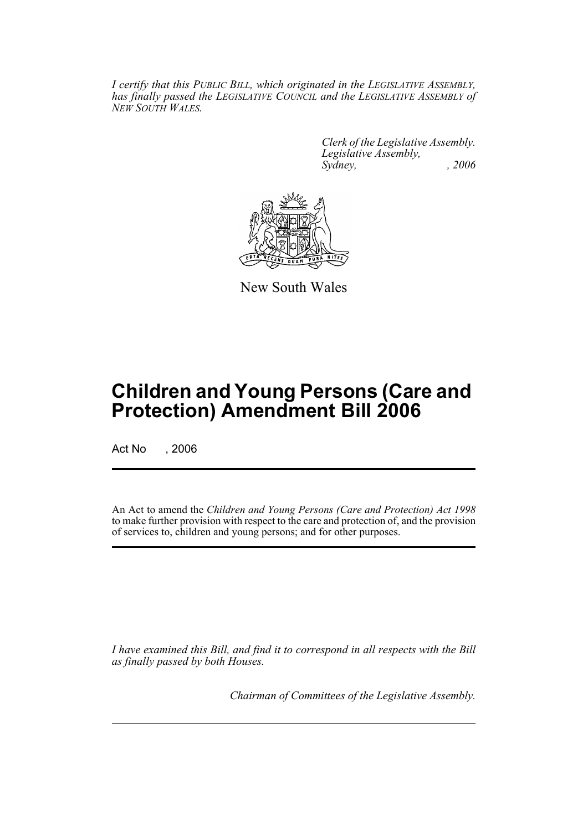*I certify that this PUBLIC BILL, which originated in the LEGISLATIVE ASSEMBLY, has finally passed the LEGISLATIVE COUNCIL and the LEGISLATIVE ASSEMBLY of NEW SOUTH WALES.*

> *Clerk of the Legislative Assembly. Legislative Assembly, Sydney, , 2006*



New South Wales

# **Children and Young Persons (Care and Protection) Amendment Bill 2006**

Act No , 2006

An Act to amend the *Children and Young Persons (Care and Protection) Act 1998* to make further provision with respect to the care and protection of, and the provision of services to, children and young persons; and for other purposes.

*I have examined this Bill, and find it to correspond in all respects with the Bill as finally passed by both Houses.*

*Chairman of Committees of the Legislative Assembly.*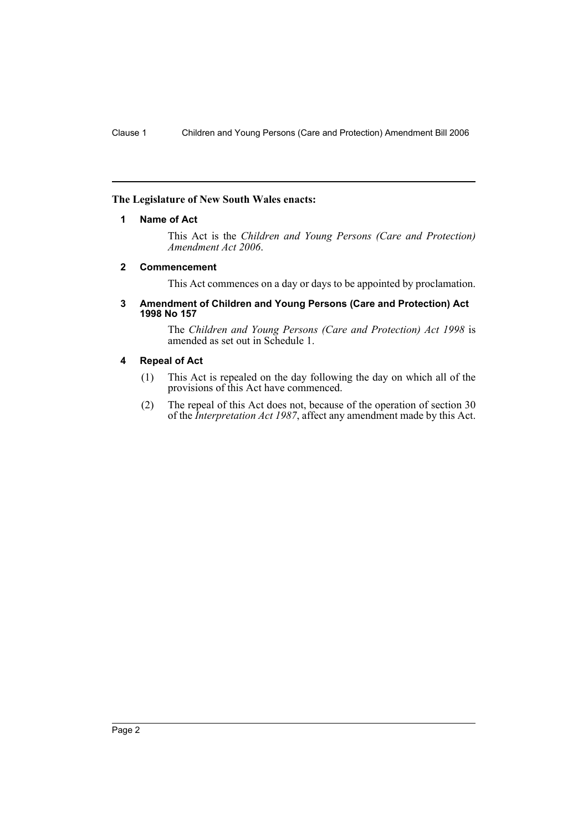## **The Legislature of New South Wales enacts:**

## **1 Name of Act**

This Act is the *Children and Young Persons (Care and Protection) Amendment Act 2006*.

## **2 Commencement**

This Act commences on a day or days to be appointed by proclamation.

#### **3 Amendment of Children and Young Persons (Care and Protection) Act 1998 No 157**

The *Children and Young Persons (Care and Protection) Act 1998* is amended as set out in Schedule 1.

### **4 Repeal of Act**

- (1) This Act is repealed on the day following the day on which all of the provisions of this Act have commenced.
- (2) The repeal of this Act does not, because of the operation of section 30 of the *Interpretation Act 1987*, affect any amendment made by this Act.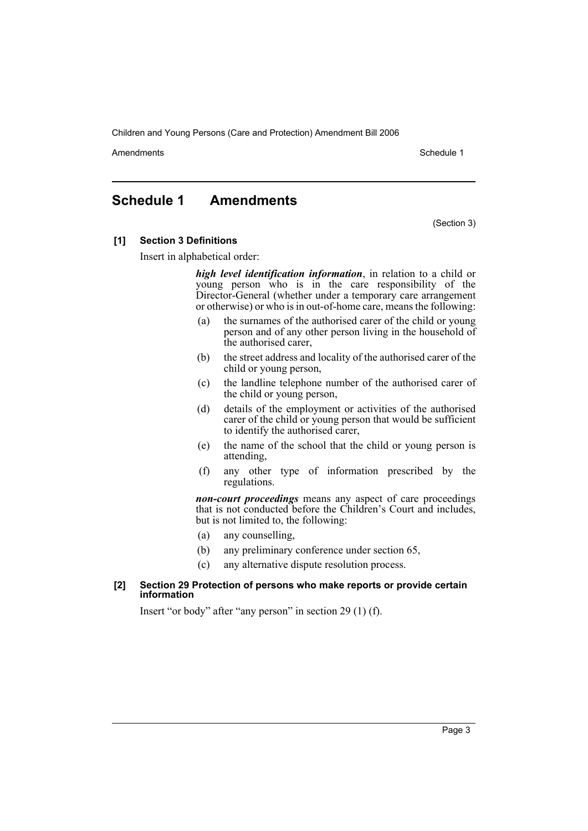Amendments **Amendments** Schedule 1

# **Schedule 1 Amendments**

(Section 3)

### **[1] Section 3 Definitions**

Insert in alphabetical order:

*high level identification information*, in relation to a child or young person who is in the care responsibility of the Director-General (whether under a temporary care arrangement or otherwise) or who is in out-of-home care, means the following:

- (a) the surnames of the authorised carer of the child or young person and of any other person living in the household of the authorised carer,
- (b) the street address and locality of the authorised carer of the child or young person,
- (c) the landline telephone number of the authorised carer of the child or young person,
- (d) details of the employment or activities of the authorised carer of the child or young person that would be sufficient to identify the authorised carer,
- (e) the name of the school that the child or young person is attending,
- (f) any other type of information prescribed by the regulations.

*non-court proceedings* means any aspect of care proceedings that is not conducted before the Children's Court and includes, but is not limited to, the following:

- (a) any counselling,
- (b) any preliminary conference under section 65,
- (c) any alternative dispute resolution process.

#### **[2] Section 29 Protection of persons who make reports or provide certain information**

Insert "or body" after "any person" in section 29 (1) (f).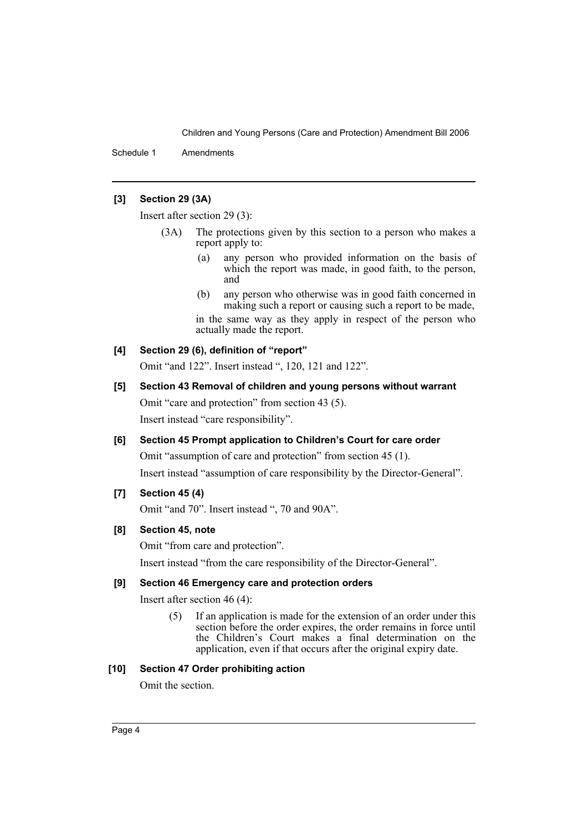Schedule 1 Amendments

## **[3] Section 29 (3A)**

Insert after section 29 (3):

- (3A) The protections given by this section to a person who makes a report apply to:
	- (a) any person who provided information on the basis of which the report was made, in good faith, to the person, and
	- (b) any person who otherwise was in good faith concerned in making such a report or causing such a report to be made,

in the same way as they apply in respect of the person who actually made the report.

## **[4] Section 29 (6), definition of "report"**

Omit "and 122". Insert instead ", 120, 121 and 122".

# **[5] Section 43 Removal of children and young persons without warrant** Omit "care and protection" from section 43 (5). Insert instead "care responsibility".

## **[6] Section 45 Prompt application to Children's Court for care order**

Omit "assumption of care and protection" from section 45 (1). Insert instead "assumption of care responsibility by the Director-General".

## **[7] Section 45 (4)**

Omit "and 70". Insert instead ", 70 and 90A".

## **[8] Section 45, note**

Omit "from care and protection". Insert instead "from the care responsibility of the Director-General".

## **[9] Section 46 Emergency care and protection orders**

Insert after section 46 (4):

(5) If an application is made for the extension of an order under this section before the order expires, the order remains in force until the Children's Court makes a final determination on the application, even if that occurs after the original expiry date.

## **[10] Section 47 Order prohibiting action**

Omit the section.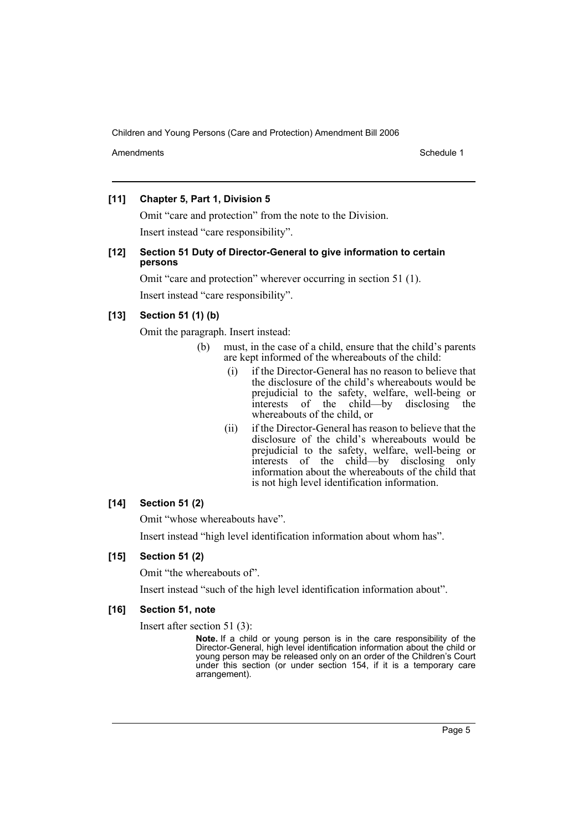Amendments **Amendments** Schedule 1

## **[11] Chapter 5, Part 1, Division 5**

Omit "care and protection" from the note to the Division. Insert instead "care responsibility".

## **[12] Section 51 Duty of Director-General to give information to certain persons**

Omit "care and protection" wherever occurring in section 51 (1). Insert instead "care responsibility".

## **[13] Section 51 (1) (b)**

Omit the paragraph. Insert instead:

- (b) must, in the case of a child, ensure that the child's parents are kept informed of the whereabouts of the child:
	- (i) if the Director-General has no reason to believe that the disclosure of the child's whereabouts would be prejudicial to the safety, welfare, well-being or interests of the child—by disclosing the whereabouts of the child, or
	- (ii) if the Director-General has reason to believe that the disclosure of the child's whereabouts would be prejudicial to the safety, welfare, well-being or interests of the child—by disclosing only information about the whereabouts of the child that is not high level identification information.

## **[14] Section 51 (2)**

Omit "whose whereabouts have".

Insert instead "high level identification information about whom has".

## **[15] Section 51 (2)**

Omit "the whereabouts of".

Insert instead "such of the high level identification information about".

## **[16] Section 51, note**

Insert after section 51 (3):

**Note.** If a child or young person is in the care responsibility of the Director-General, high level identification information about the child or young person may be released only on an order of the Children's Court under this section (or under section 154, if it is a temporary care arrangement).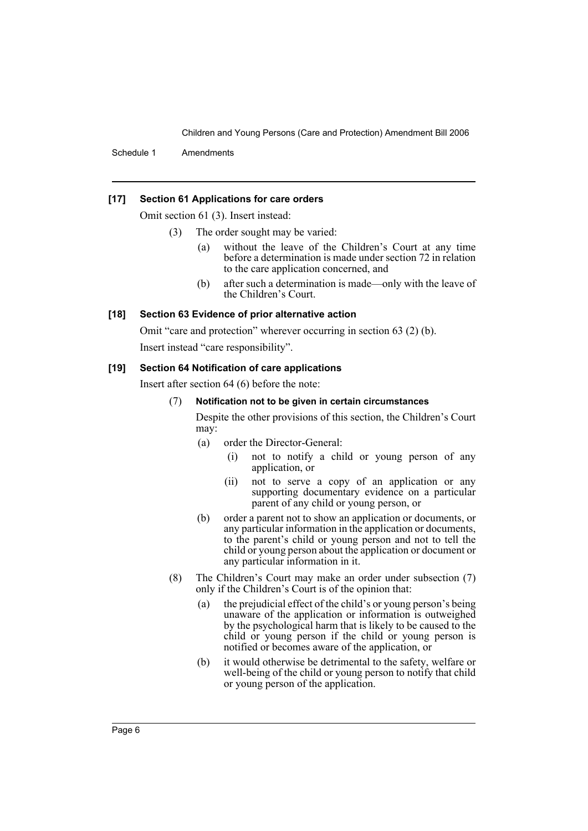Schedule 1 Amendments

### **[17] Section 61 Applications for care orders**

Omit section 61 (3). Insert instead:

- (3) The order sought may be varied:
	- (a) without the leave of the Children's Court at any time before a determination is made under section 72 in relation to the care application concerned, and
	- (b) after such a determination is made—only with the leave of the Children's Court.

#### **[18] Section 63 Evidence of prior alternative action**

Omit "care and protection" wherever occurring in section 63 (2) (b).

Insert instead "care responsibility".

#### **[19] Section 64 Notification of care applications**

Insert after section 64 (6) before the note:

#### (7) **Notification not to be given in certain circumstances**

Despite the other provisions of this section, the Children's Court may:

- (a) order the Director-General:
	- (i) not to notify a child or young person of any application, or
	- (ii) not to serve a copy of an application or any supporting documentary evidence on a particular parent of any child or young person, or
- (b) order a parent not to show an application or documents, or any particular information in the application or documents, to the parent's child or young person and not to tell the child or young person about the application or document or any particular information in it.
- (8) The Children's Court may make an order under subsection (7) only if the Children's Court is of the opinion that:
	- (a) the prejudicial effect of the child's or young person's being unaware of the application or information is outweighed by the psychological harm that is likely to be caused to the child or young person if the child or young person is notified or becomes aware of the application, or
	- (b) it would otherwise be detrimental to the safety, welfare or well-being of the child or young person to notify that child or young person of the application.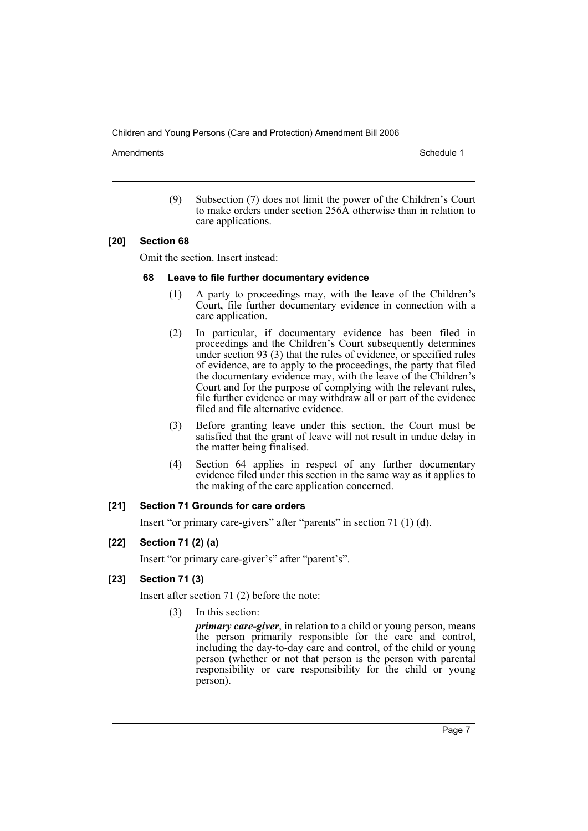Amendments **Amendments** Schedule 1

(9) Subsection (7) does not limit the power of the Children's Court to make orders under section 256A otherwise than in relation to care applications.

## **[20] Section 68**

Omit the section. Insert instead:

#### **68 Leave to file further documentary evidence**

- (1) A party to proceedings may, with the leave of the Children's Court, file further documentary evidence in connection with a care application.
- (2) In particular, if documentary evidence has been filed in proceedings and the Children's Court subsequently determines under section 93 (3) that the rules of evidence, or specified rules of evidence, are to apply to the proceedings, the party that filed the documentary evidence may, with the leave of the Children's Court and for the purpose of complying with the relevant rules, file further evidence or may withdraw all or part of the evidence filed and file alternative evidence.
- (3) Before granting leave under this section, the Court must be satisfied that the grant of leave will not result in undue delay in the matter being finalised.
- (4) Section 64 applies in respect of any further documentary evidence filed under this section in the same way as it applies to the making of the care application concerned.

#### **[21] Section 71 Grounds for care orders**

Insert "or primary care-givers" after "parents" in section 71 (1) (d).

## **[22] Section 71 (2) (a)**

Insert "or primary care-giver's" after "parent's".

## **[23] Section 71 (3)**

Insert after section 71 (2) before the note:

(3) In this section:

*primary care-giver*, in relation to a child or young person, means the person primarily responsible for the care and control, including the day-to-day care and control, of the child or young person (whether or not that person is the person with parental responsibility or care responsibility for the child or young person).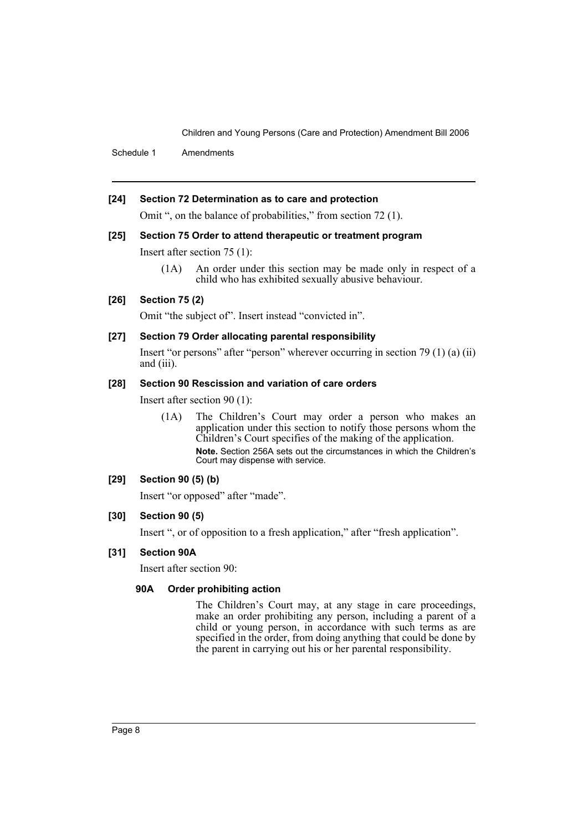Schedule 1 Amendments

### **[24] Section 72 Determination as to care and protection**

Omit ", on the balance of probabilities," from section 72 (1).

### **[25] Section 75 Order to attend therapeutic or treatment program**

Insert after section 75 (1):

(1A) An order under this section may be made only in respect of a child who has exhibited sexually abusive behaviour.

## **[26] Section 75 (2)**

Omit "the subject of". Insert instead "convicted in".

### **[27] Section 79 Order allocating parental responsibility**

Insert "or persons" after "person" wherever occurring in section 79 (1) (a) (ii) and (iii).

## **[28] Section 90 Rescission and variation of care orders**

Insert after section 90 (1):

(1A) The Children's Court may order a person who makes an application under this section to notify those persons whom the Children's Court specifies of the making of the application. **Note.** Section 256A sets out the circumstances in which the Children's Court may dispense with service.

#### **[29] Section 90 (5) (b)**

Insert "or opposed" after "made".

#### **[30] Section 90 (5)**

Insert ", or of opposition to a fresh application," after "fresh application".

## **[31] Section 90A**

Insert after section 90:

## **90A Order prohibiting action**

The Children's Court may, at any stage in care proceedings, make an order prohibiting any person, including a parent of a child or young person, in accordance with such terms as are specified in the order, from doing anything that could be done by the parent in carrying out his or her parental responsibility.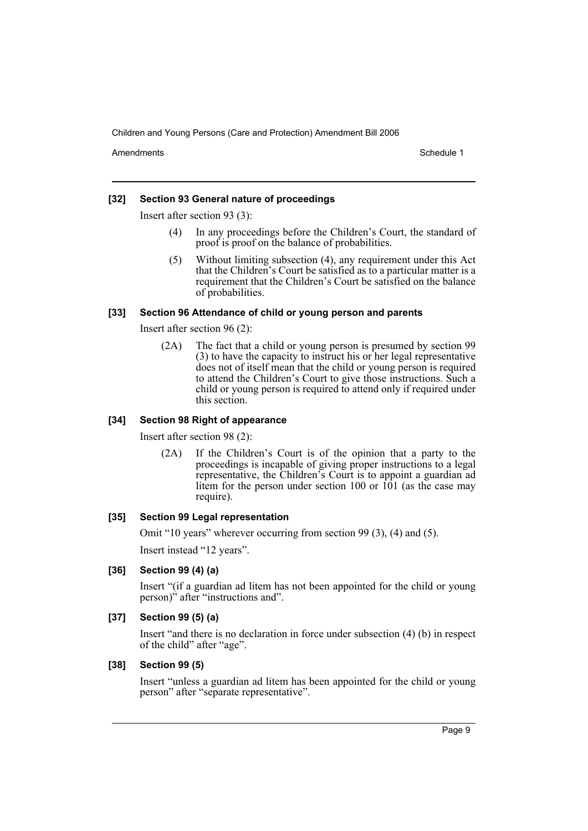Amendments **Amendments** Schedule 1

## **[32] Section 93 General nature of proceedings**

Insert after section 93 (3):

- (4) In any proceedings before the Children's Court, the standard of proof is proof on the balance of probabilities.
- (5) Without limiting subsection (4), any requirement under this Act that the Children's Court be satisfied as to a particular matter is a requirement that the Children's Court be satisfied on the balance of probabilities.

### **[33] Section 96 Attendance of child or young person and parents**

Insert after section 96 (2):

(2A) The fact that a child or young person is presumed by section 99 (3) to have the capacity to instruct his or her legal representative does not of itself mean that the child or young person is required to attend the Children's Court to give those instructions. Such a child or young person is required to attend only if required under this section.

## **[34] Section 98 Right of appearance**

Insert after section 98 (2):

(2A) If the Children's Court is of the opinion that a party to the proceedings is incapable of giving proper instructions to a legal representative, the Children's Court is to appoint a guardian ad litem for the person under section  $100$  or  $101$  (as the case may require).

## **[35] Section 99 Legal representation**

Omit "10 years" wherever occurring from section 99 (3), (4) and (5).

Insert instead "12 years".

## **[36] Section 99 (4) (a)**

Insert "(if a guardian ad litem has not been appointed for the child or young person)" after "instructions and".

## **[37] Section 99 (5) (a)**

Insert "and there is no declaration in force under subsection (4) (b) in respect of the child" after "age".

#### **[38] Section 99 (5)**

Insert "unless a guardian ad litem has been appointed for the child or young person" after "separate representative".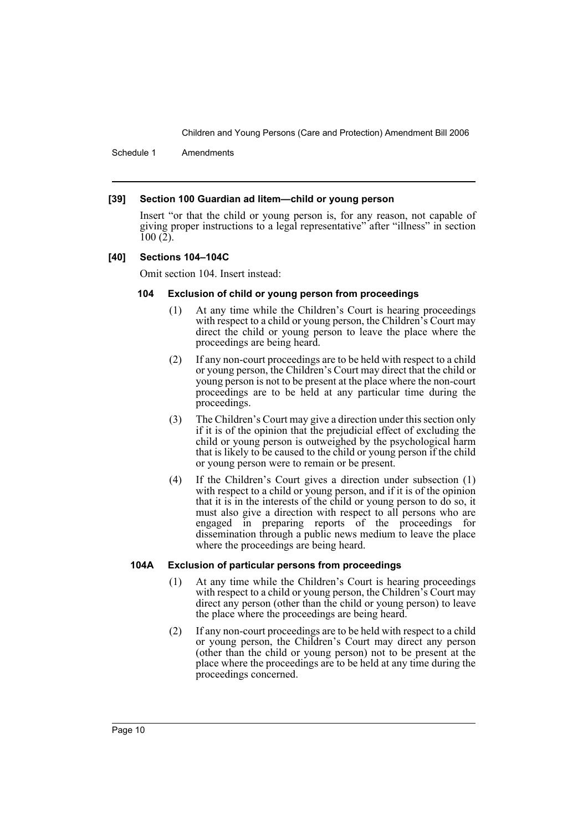Schedule 1 Amendments

#### **[39] Section 100 Guardian ad litem—child or young person**

Insert "or that the child or young person is, for any reason, not capable of giving proper instructions to a legal representative" after "illness" in section 100 (2).

#### **[40] Sections 104–104C**

Omit section 104. Insert instead:

#### **104 Exclusion of child or young person from proceedings**

- (1) At any time while the Children's Court is hearing proceedings with respect to a child or young person, the Children's Court may direct the child or young person to leave the place where the proceedings are being heard.
- (2) If any non-court proceedings are to be held with respect to a child or young person, the Children's Court may direct that the child or young person is not to be present at the place where the non-court proceedings are to be held at any particular time during the proceedings.
- (3) The Children's Court may give a direction under this section only if it is of the opinion that the prejudicial effect of excluding the child or young person is outweighed by the psychological harm that is likely to be caused to the child or young person if the child or young person were to remain or be present.
- (4) If the Children's Court gives a direction under subsection (1) with respect to a child or young person, and if it is of the opinion that it is in the interests of the child or young person to do so, it must also give a direction with respect to all persons who are engaged in preparing reports of the proceedings for dissemination through a public news medium to leave the place where the proceedings are being heard.

#### **104A Exclusion of particular persons from proceedings**

- (1) At any time while the Children's Court is hearing proceedings with respect to a child or young person, the Children's Court may direct any person (other than the child or young person) to leave the place where the proceedings are being heard.
- (2) If any non-court proceedings are to be held with respect to a child or young person, the Children's Court may direct any person (other than the child or young person) not to be present at the place where the proceedings are to be held at any time during the proceedings concerned.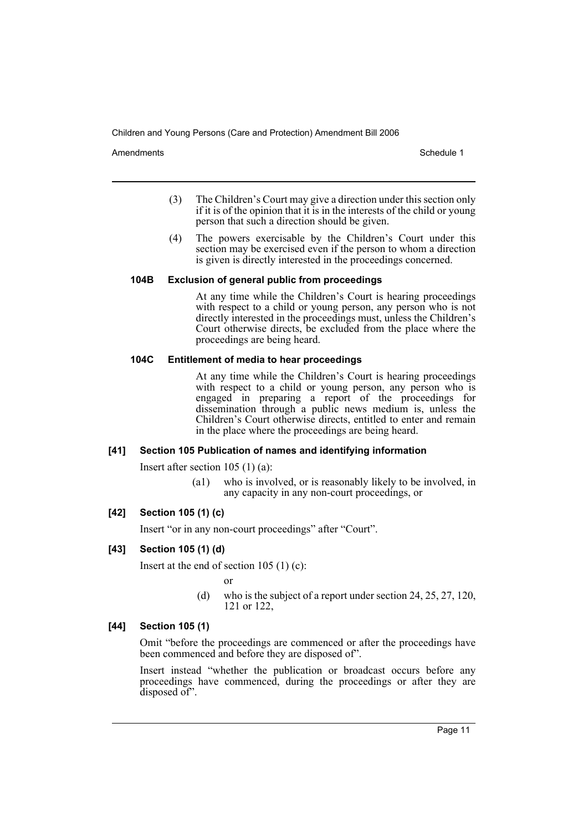Amendments **Amendments** Schedule 1

- (3) The Children's Court may give a direction under this section only if it is of the opinion that it is in the interests of the child or young person that such a direction should be given.
- (4) The powers exercisable by the Children's Court under this section may be exercised even if the person to whom a direction is given is directly interested in the proceedings concerned.

## **104B Exclusion of general public from proceedings**

At any time while the Children's Court is hearing proceedings with respect to a child or young person, any person who is not directly interested in the proceedings must, unless the Children's Court otherwise directs, be excluded from the place where the proceedings are being heard.

### **104C Entitlement of media to hear proceedings**

At any time while the Children's Court is hearing proceedings with respect to a child or young person, any person who is engaged in preparing a report of the proceedings for dissemination through a public news medium is, unless the Children's Court otherwise directs, entitled to enter and remain in the place where the proceedings are being heard.

#### **[41] Section 105 Publication of names and identifying information**

Insert after section 105 (1) (a):

(a1) who is involved, or is reasonably likely to be involved, in any capacity in any non-court proceedings, or

## **[42] Section 105 (1) (c)**

Insert "or in any non-court proceedings" after "Court".

## **[43] Section 105 (1) (d)**

Insert at the end of section  $105$  (1) (c):

or

(d) who is the subject of a report under section 24, 25, 27, 120, 121 or 122,

## **[44] Section 105 (1)**

Omit "before the proceedings are commenced or after the proceedings have been commenced and before they are disposed of".

Insert instead "whether the publication or broadcast occurs before any proceedings have commenced, during the proceedings or after they are disposed of".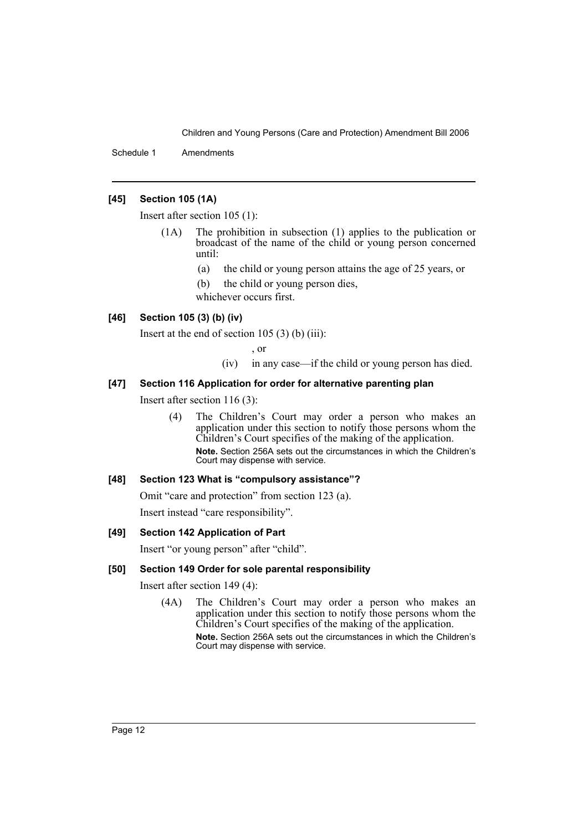Schedule 1 Amendments

## **[45] Section 105 (1A)**

Insert after section 105 (1):

- (1A) The prohibition in subsection (1) applies to the publication or broadcast of the name of the child or young person concerned until:
	- (a) the child or young person attains the age of 25 years, or
	- (b) the child or young person dies,

whichever occurs first.

## **[46] Section 105 (3) (b) (iv)**

Insert at the end of section 105  $(3)$  (b) (iii):

, or

(iv) in any case—if the child or young person has died.

## **[47] Section 116 Application for order for alternative parenting plan**

Insert after section 116 (3):

(4) The Children's Court may order a person who makes an application under this section to notify those persons whom the Children's Court specifies of the making of the application. **Note.** Section 256A sets out the circumstances in which the Children's Court may dispense with service.

## **[48] Section 123 What is "compulsory assistance"?**

Omit "care and protection" from section 123 (a). Insert instead "care responsibility".

#### **[49] Section 142 Application of Part**

Insert "or young person" after "child".

## **[50] Section 149 Order for sole parental responsibility**

Insert after section 149 (4):

(4A) The Children's Court may order a person who makes an application under this section to notify those persons whom the Children's Court specifies of the making of the application. **Note.** Section 256A sets out the circumstances in which the Children's Court may dispense with service.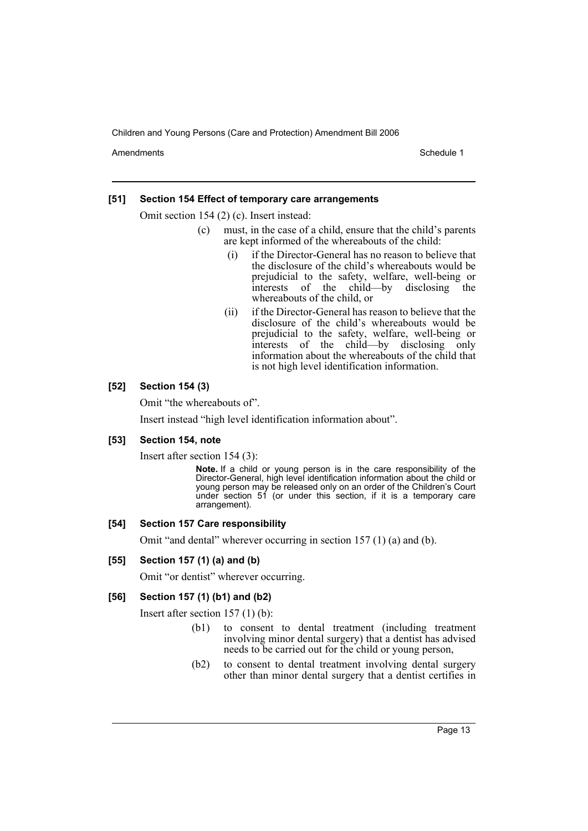Amendments **Amendments** Schedule 1

### **[51] Section 154 Effect of temporary care arrangements**

Omit section 154 (2) (c). Insert instead:

- (c) must, in the case of a child, ensure that the child's parents are kept informed of the whereabouts of the child:
	- (i) if the Director-General has no reason to believe that the disclosure of the child's whereabouts would be prejudicial to the safety, welfare, well-being or interests of the child—by disclosing the whereabouts of the child, or
	- (ii) if the Director-General has reason to believe that the disclosure of the child's whereabouts would be prejudicial to the safety, welfare, well-being or interests of the child—by disclosing only information about the whereabouts of the child that is not high level identification information.

### **[52] Section 154 (3)**

Omit "the whereabouts of".

Insert instead "high level identification information about".

#### **[53] Section 154, note**

Insert after section 154 (3):

**Note.** If a child or young person is in the care responsibility of the Director-General, high level identification information about the child or young person may be released only on an order of the Children's Court under section  $51$  (or under this section, if it is a temporary care arrangement).

#### **[54] Section 157 Care responsibility**

Omit "and dental" wherever occurring in section 157 (1) (a) and (b).

#### **[55] Section 157 (1) (a) and (b)**

Omit "or dentist" wherever occurring.

#### **[56] Section 157 (1) (b1) and (b2)**

Insert after section 157 (1) (b):

- (b1) to consent to dental treatment (including treatment involving minor dental surgery) that a dentist has advised needs to be carried out for the child or young person,
- (b2) to consent to dental treatment involving dental surgery other than minor dental surgery that a dentist certifies in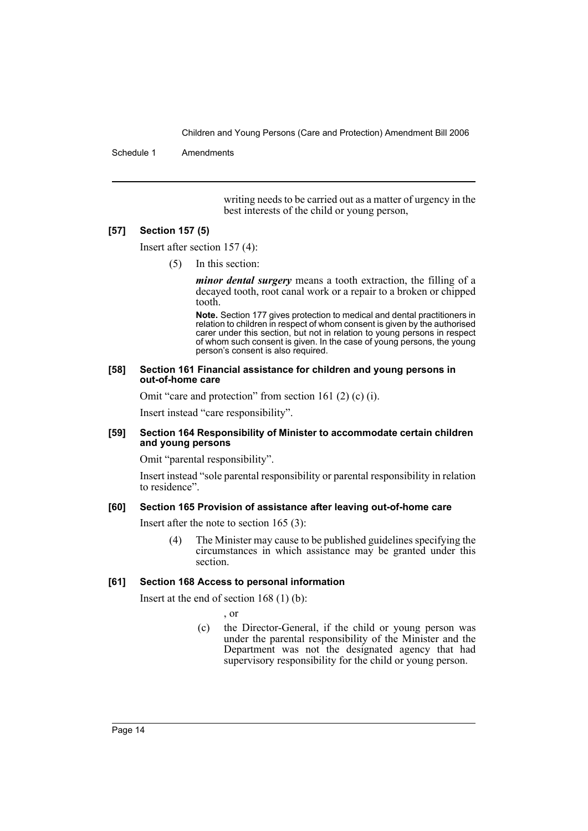Schedule 1 Amendments

writing needs to be carried out as a matter of urgency in the best interests of the child or young person,

#### **[57] Section 157 (5)**

Insert after section 157 (4):

(5) In this section:

*minor dental surgery* means a tooth extraction, the filling of a decayed tooth, root canal work or a repair to a broken or chipped tooth.

**Note.** Section 177 gives protection to medical and dental practitioners in relation to children in respect of whom consent is given by the authorised carer under this section, but not in relation to young persons in respect of whom such consent is given. In the case of young persons, the young person's consent is also required.

#### **[58] Section 161 Financial assistance for children and young persons in out-of-home care**

Omit "care and protection" from section 161 (2) (c) (i).

Insert instead "care responsibility".

#### **[59] Section 164 Responsibility of Minister to accommodate certain children and young persons**

Omit "parental responsibility".

Insert instead "sole parental responsibility or parental responsibility in relation to residence".

#### **[60] Section 165 Provision of assistance after leaving out-of-home care**

Insert after the note to section 165 (3):

(4) The Minister may cause to be published guidelines specifying the circumstances in which assistance may be granted under this section.

## **[61] Section 168 Access to personal information**

Insert at the end of section 168 (1) (b):

, or

(c) the Director-General, if the child or young person was under the parental responsibility of the Minister and the Department was not the designated agency that had supervisory responsibility for the child or young person.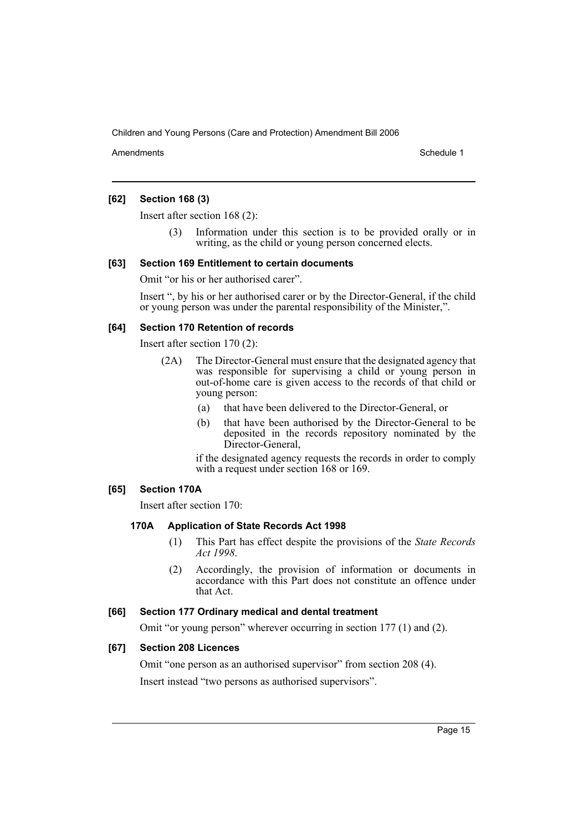Amendments **Amendments** Schedule 1

## **[62] Section 168 (3)**

Insert after section 168 (2):

Information under this section is to be provided orally or in writing, as the child or young person concerned elects.

### **[63] Section 169 Entitlement to certain documents**

Omit "or his or her authorised carer".

Insert ", by his or her authorised carer or by the Director-General, if the child or young person was under the parental responsibility of the Minister,".

### **[64] Section 170 Retention of records**

Insert after section 170 (2):

- (2A) The Director-General must ensure that the designated agency that was responsible for supervising a child or young person in out-of-home care is given access to the records of that child or young person:
	- (a) that have been delivered to the Director-General, or
	- (b) that have been authorised by the Director-General to be deposited in the records repository nominated by the Director-General,

if the designated agency requests the records in order to comply with a request under section 168 or 169.

## **[65] Section 170A**

Insert after section 170:

#### **170A Application of State Records Act 1998**

- (1) This Part has effect despite the provisions of the *State Records Act 1998*.
- (2) Accordingly, the provision of information or documents in accordance with this Part does not constitute an offence under that Act.

#### **[66] Section 177 Ordinary medical and dental treatment**

Omit "or young person" wherever occurring in section 177 (1) and (2).

## **[67] Section 208 Licences**

Omit "one person as an authorised supervisor" from section 208 (4). Insert instead "two persons as authorised supervisors".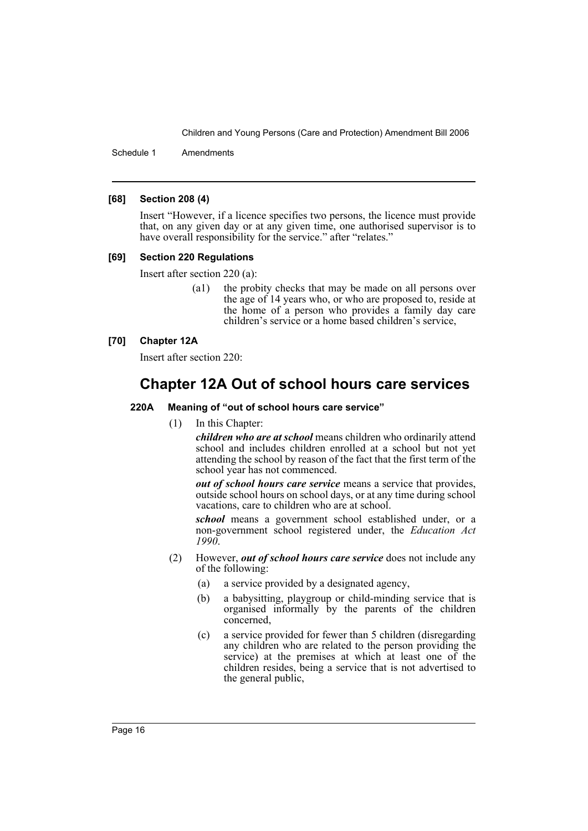Schedule 1 Amendments

#### **[68] Section 208 (4)**

Insert "However, if a licence specifies two persons, the licence must provide that, on any given day or at any given time, one authorised supervisor is to have overall responsibility for the service." after "relates."

#### **[69] Section 220 Regulations**

Insert after section 220 (a):

(a1) the probity checks that may be made on all persons over the age of 14 years who, or who are proposed to, reside at the home of a person who provides a family day care children's service or a home based children's service,

## **[70] Chapter 12A**

Insert after section 220:

# **Chapter 12A Out of school hours care services**

#### **220A Meaning of "out of school hours care service"**

(1) In this Chapter:

*children who are at school* means children who ordinarily attend school and includes children enrolled at a school but not yet attending the school by reason of the fact that the first term of the school year has not commenced.

*out of school hours care service* means a service that provides, outside school hours on school days, or at any time during school vacations, care to children who are at school.

*school* means a government school established under, or a non-government school registered under, the *Education Act 1990*.

- (2) However, *out of school hours care service* does not include any of the following:
	- (a) a service provided by a designated agency,
	- (b) a babysitting, playgroup or child-minding service that is organised informally by the parents of the children concerned,
	- (c) a service provided for fewer than 5 children (disregarding any children who are related to the person providing the service) at the premises at which at least one of the children resides, being a service that is not advertised to the general public,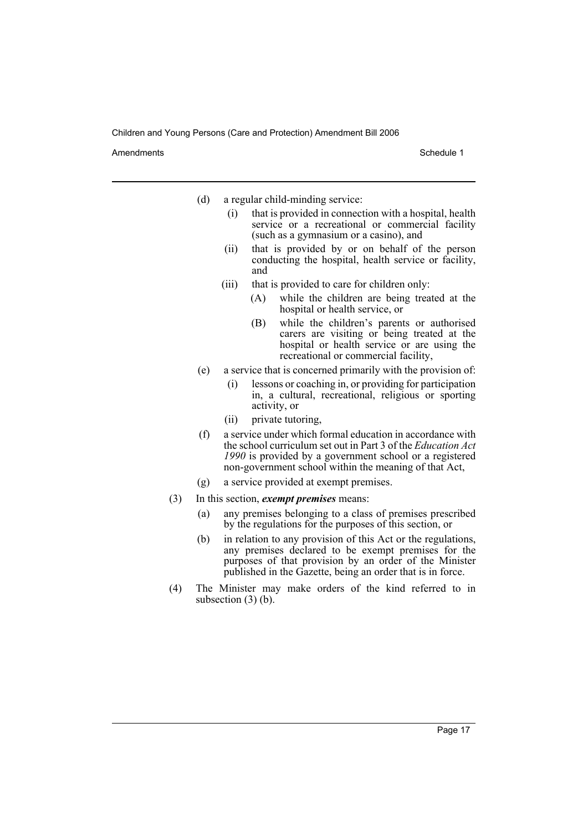Amendments **Amendments** Schedule 1

- (d) a regular child-minding service:
	- (i) that is provided in connection with a hospital, health service or a recreational or commercial facility (such as a gymnasium or a casino), and
	- (ii) that is provided by or on behalf of the person conducting the hospital, health service or facility, and
	- (iii) that is provided to care for children only:
		- (A) while the children are being treated at the hospital or health service, or
		- (B) while the children's parents or authorised carers are visiting or being treated at the hospital or health service or are using the recreational or commercial facility,
- (e) a service that is concerned primarily with the provision of:
	- (i) lessons or coaching in, or providing for participation in, a cultural, recreational, religious or sporting activity, or
	- (ii) private tutoring,
- (f) a service under which formal education in accordance with the school curriculum set out in Part 3 of the *Education Act 1990* is provided by a government school or a registered non-government school within the meaning of that Act,
- (g) a service provided at exempt premises.
- (3) In this section, *exempt premises* means:
	- (a) any premises belonging to a class of premises prescribed by the regulations for the purposes of this section, or
	- (b) in relation to any provision of this Act or the regulations, any premises declared to be exempt premises for the purposes of that provision by an order of the Minister published in the Gazette, being an order that is in force.
- (4) The Minister may make orders of the kind referred to in subsection  $(3)$  (b).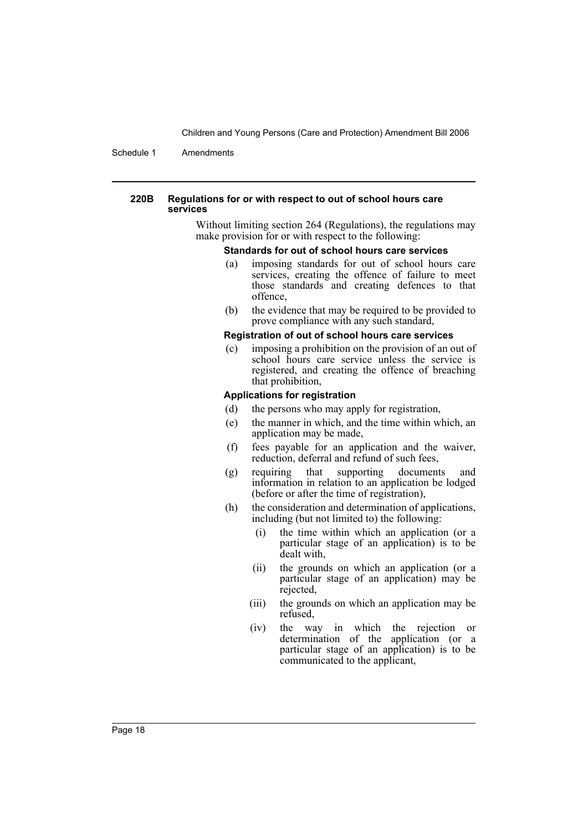Schedule 1 Amendments

#### **220B Regulations for or with respect to out of school hours care services**

Without limiting section 264 (Regulations), the regulations may make provision for or with respect to the following:

#### **Standards for out of school hours care services**

- (a) imposing standards for out of school hours care services, creating the offence of failure to meet those standards and creating defences to that offence,
- (b) the evidence that may be required to be provided to prove compliance with any such standard,

#### **Registration of out of school hours care services**

(c) imposing a prohibition on the provision of an out of school hours care service unless the service is registered, and creating the offence of breaching that prohibition,

### **Applications for registration**

- (d) the persons who may apply for registration,
- (e) the manner in which, and the time within which, an application may be made,
- (f) fees payable for an application and the waiver, reduction, deferral and refund of such fees,
- (g) requiring that supporting documents and information in relation to an application be lodged (before or after the time of registration),
- (h) the consideration and determination of applications, including (but not limited to) the following:
	- (i) the time within which an application (or a particular stage of an application) is to be dealt with,
	- (ii) the grounds on which an application (or a particular stage of an application) may be rejected,
	- (iii) the grounds on which an application may be refused,
	- (iv) the way in which the rejection or determination of the application (or a particular stage of an application) is to be communicated to the applicant,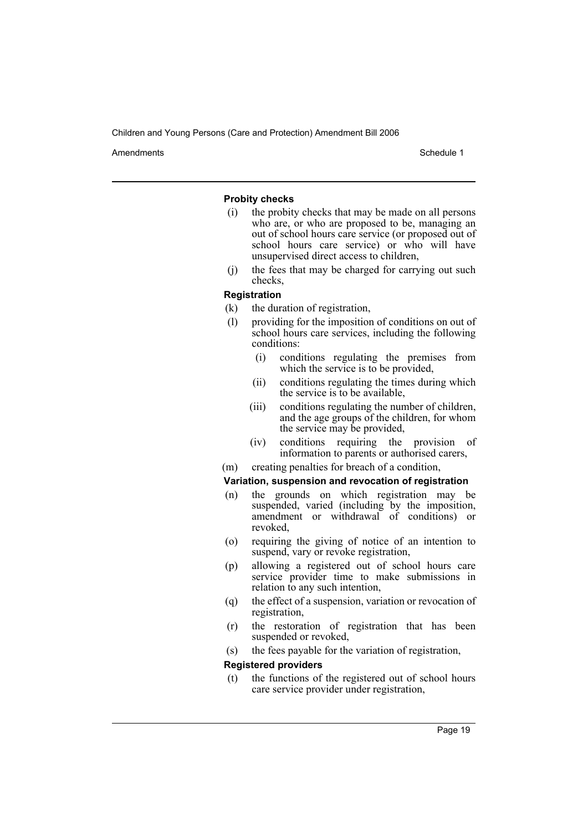Amendments **Amendments** Schedule 1

#### **Probity checks**

- (i) the probity checks that may be made on all persons who are, or who are proposed to be, managing an out of school hours care service (or proposed out of school hours care service) or who will have unsupervised direct access to children,
- (j) the fees that may be charged for carrying out such checks,

#### **Registration**

- (k) the duration of registration,
- (l) providing for the imposition of conditions on out of school hours care services, including the following conditions:
	- (i) conditions regulating the premises from which the service is to be provided,
	- (ii) conditions regulating the times during which the service is to be available,
	- (iii) conditions regulating the number of children, and the age groups of the children, for whom the service may be provided,
	- (iv) conditions requiring the provision of information to parents or authorised carers,
- (m) creating penalties for breach of a condition,

#### **Variation, suspension and revocation of registration**

- (n) the grounds on which registration may be suspended, varied (including by the imposition, amendment or withdrawal of conditions) or revoked,
- (o) requiring the giving of notice of an intention to suspend, vary or revoke registration,
- (p) allowing a registered out of school hours care service provider time to make submissions in relation to any such intention,
- (q) the effect of a suspension, variation or revocation of registration,
- (r) the restoration of registration that has been suspended or revoked,
- (s) the fees payable for the variation of registration,

#### **Registered providers**

(t) the functions of the registered out of school hours care service provider under registration,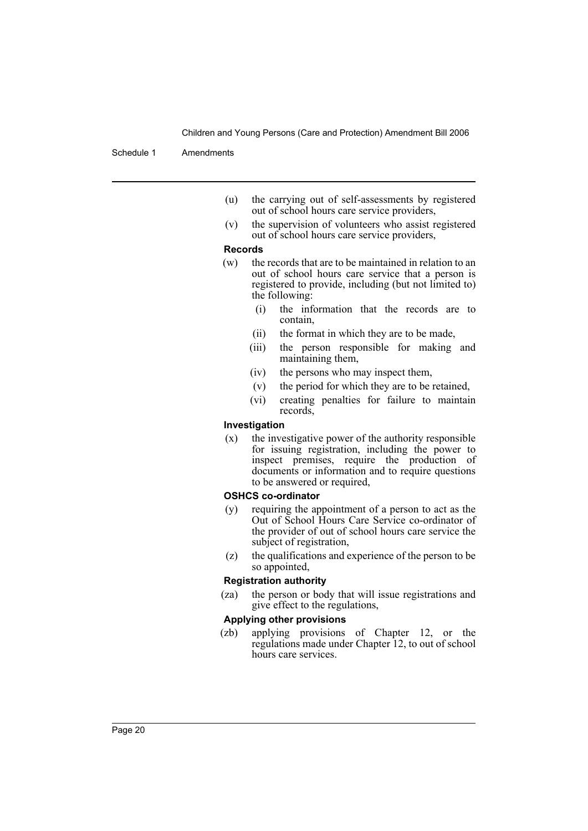#### Schedule 1 Amendments

- (u) the carrying out of self-assessments by registered out of school hours care service providers,
- (v) the supervision of volunteers who assist registered out of school hours care service providers,

#### **Records**

- (w) the records that are to be maintained in relation to an out of school hours care service that a person is registered to provide, including (but not limited to) the following:
	- (i) the information that the records are to contain,
	- (ii) the format in which they are to be made,
	- (iii) the person responsible for making and maintaining them,
	- (iv) the persons who may inspect them,
	- (v) the period for which they are to be retained,
	- (vi) creating penalties for failure to maintain records,

#### **Investigation**

(x) the investigative power of the authority responsible for issuing registration, including the power to inspect premises, require the production of documents or information and to require questions to be answered or required,

#### **OSHCS co-ordinator**

- (y) requiring the appointment of a person to act as the Out of School Hours Care Service co-ordinator of the provider of out of school hours care service the subject of registration,
- (z) the qualifications and experience of the person to be so appointed,

#### **Registration authority**

(za) the person or body that will issue registrations and give effect to the regulations,

#### **Applying other provisions**

(zb) applying provisions of Chapter 12, or the regulations made under Chapter 12, to out of school hours care services.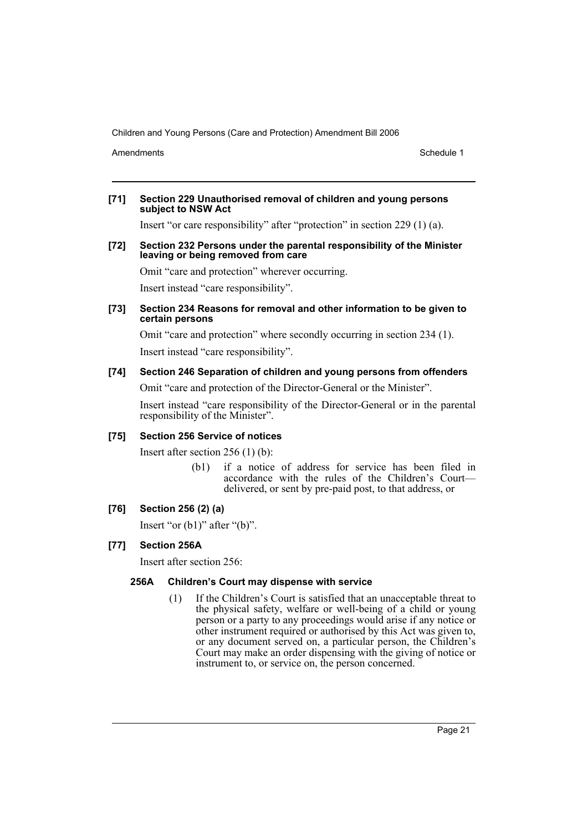Amendments **Amendments** Schedule 1

#### **[71] Section 229 Unauthorised removal of children and young persons subject to NSW Act**

Insert "or care responsibility" after "protection" in section 229 (1) (a).

#### **[72] Section 232 Persons under the parental responsibility of the Minister leaving or being removed from care**

Omit "care and protection" wherever occurring.

Insert instead "care responsibility".

#### **[73] Section 234 Reasons for removal and other information to be given to certain persons**

Omit "care and protection" where secondly occurring in section 234 (1). Insert instead "care responsibility".

## **[74] Section 246 Separation of children and young persons from offenders**

Omit "care and protection of the Director-General or the Minister".

Insert instead "care responsibility of the Director-General or in the parental responsibility of the Minister".

## **[75] Section 256 Service of notices**

Insert after section 256 (1) (b):

(b1) if a notice of address for service has been filed in accordance with the rules of the Children's Court delivered, or sent by pre-paid post, to that address, or

## **[76] Section 256 (2) (a)**

Insert "or  $(b1)$ " after " $(b)$ ".

## **[77] Section 256A**

Insert after section 256:

## **256A Children's Court may dispense with service**

(1) If the Children's Court is satisfied that an unacceptable threat to the physical safety, welfare or well-being of a child or young person or a party to any proceedings would arise if any notice or other instrument required or authorised by this Act was given to, or any document served on, a particular person, the Children's Court may make an order dispensing with the giving of notice or instrument to, or service on, the person concerned.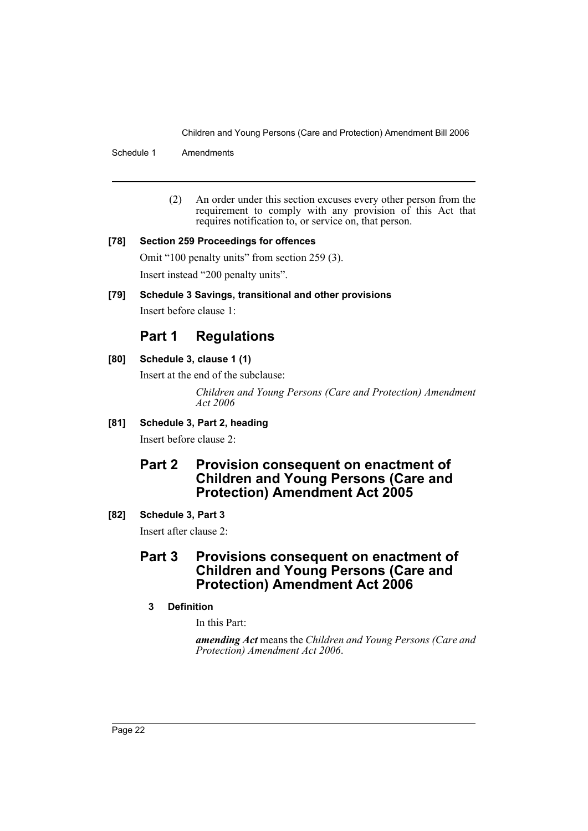Schedule 1 Amendments

(2) An order under this section excuses every other person from the requirement to comply with any provision of this Act that requires notification to, or service on, that person.

## **[78] Section 259 Proceedings for offences**

Omit "100 penalty units" from section 259 (3). Insert instead "200 penalty units".

## **[79] Schedule 3 Savings, transitional and other provisions**

Insert before clause 1:

# **Part 1 Regulations**

## **[80] Schedule 3, clause 1 (1)**

Insert at the end of the subclause:

*Children and Young Persons (Care and Protection) Amendment Act 2006*

## **[81] Schedule 3, Part 2, heading**

Insert before clause 2:

# **Part 2 Provision consequent on enactment of Children and Young Persons (Care and Protection) Amendment Act 2005**

## **[82] Schedule 3, Part 3**

Insert after clause 2:

# **Part 3 Provisions consequent on enactment of Children and Young Persons (Care and Protection) Amendment Act 2006**

## **3 Definition**

In this Part:

*amending Act* means the *Children and Young Persons (Care and Protection) Amendment Act 2006*.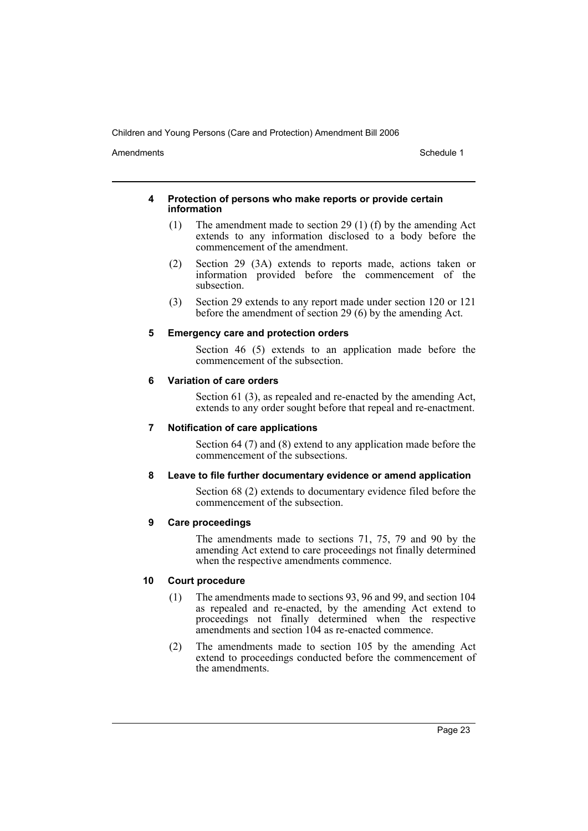Amendments **Amendments** Schedule 1

#### **4 Protection of persons who make reports or provide certain information**

- (1) The amendment made to section 29 (1) (f) by the amending Act extends to any information disclosed to a body before the commencement of the amendment.
- (2) Section 29 (3A) extends to reports made, actions taken or information provided before the commencement of the subsection.
- (3) Section 29 extends to any report made under section 120 or 121 before the amendment of section 29 (6) by the amending Act.

## **5 Emergency care and protection orders**

Section 46 (5) extends to an application made before the commencement of the subsection.

### **6 Variation of care orders**

Section 61 (3), as repealed and re-enacted by the amending Act, extends to any order sought before that repeal and re-enactment.

## **7 Notification of care applications**

Section 64 (7) and (8) extend to any application made before the commencement of the subsections.

## **8 Leave to file further documentary evidence or amend application**

Section 68 (2) extends to documentary evidence filed before the commencement of the subsection.

## **9 Care proceedings**

The amendments made to sections 71, 75, 79 and 90 by the amending Act extend to care proceedings not finally determined when the respective amendments commence.

## **10 Court procedure**

- (1) The amendments made to sections 93, 96 and 99, and section 104 as repealed and re-enacted, by the amending Act extend to proceedings not finally determined when the respective amendments and section 104 as re-enacted commence.
- (2) The amendments made to section 105 by the amending Act extend to proceedings conducted before the commencement of the amendments.